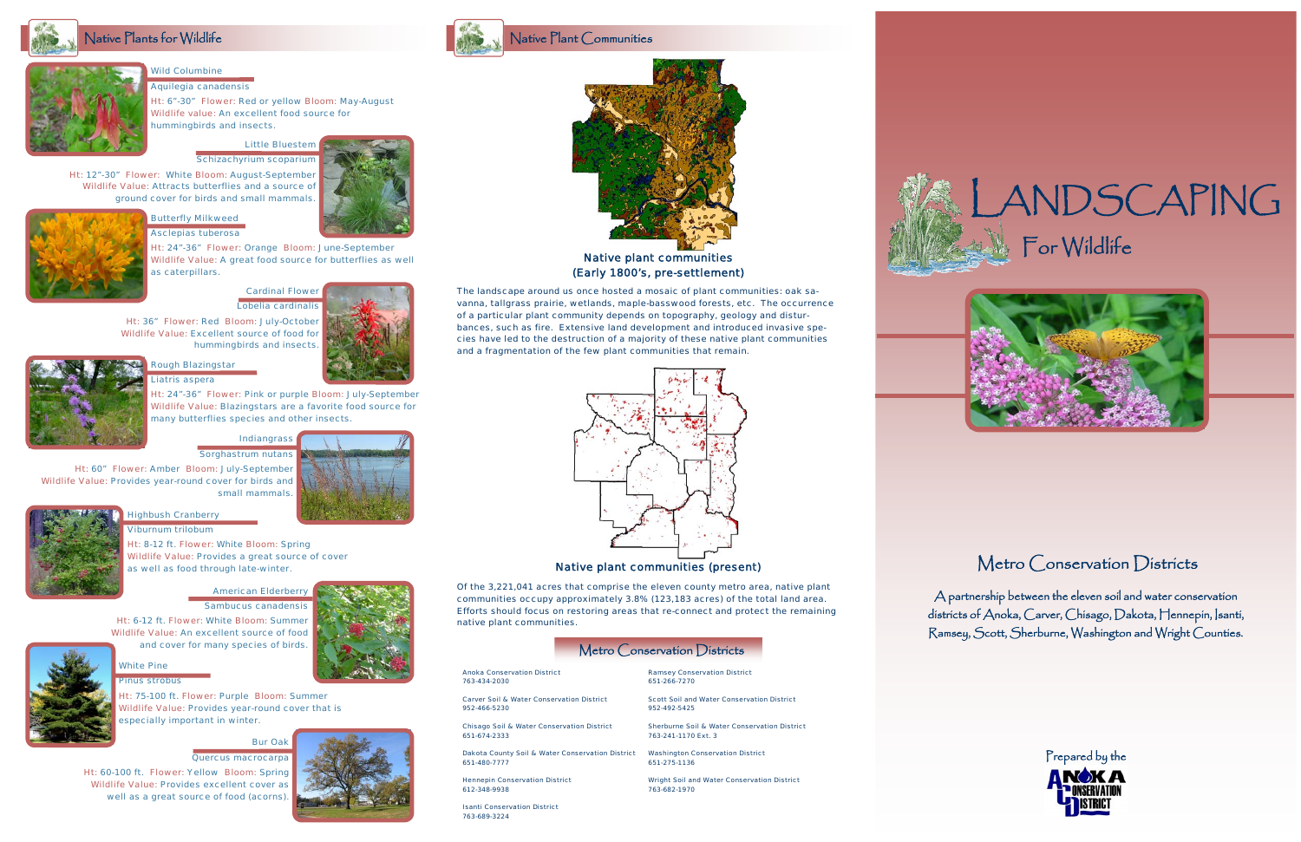### *Cardinal Flower Lobelia cardinalis*

*Ht: 36" Flower: Red Bloom: July-October Wildlife Value: Excellent source of food for hummingbirds and insects.* 





*Ht: 60" Flower: Amber Bloom: July-September Wildlife Value: Provides year-round cover for birds and small mammals.* 





### Native Plants for Wildlife

*Bur Oak Quercus macrocarpa* 







*White Pine* 



*Pinus strobus* 

*Ht: 75-100 ft. Flower: Purple Bloom: Summer Wildlife Value: Provides year-round cover that is especially important in winter.* 

### *Highbush Cranberry*

*Viburnum trilobum* 

*Ht: 8-12 ft. Flower: White Bloom: Spring Wildlife Value: Provides a great source of cover as well as food through late-winter.* 

#### *American Elderberry*

*Sambucus canadensis Ht: 6-12 ft. Flower: White Bloom: Summer* 

*Wildlife Value: An excellent source of food and cover for many species of birds.* 



*Ht: 12"-30" Flower: White Bloom: August-September Wildlife Value: Attracts butterflies and a source of ground cover for birds and small mammals.* 



#### *Wild Columbine Aquilegia canadensis*

*Ht: 6"-30" Flower: Red or yellow Bloom: May-August Wildlife value: An excellent food source for hummingbirds and insects.* 



*Ht: 24"-36" Flower: Orange Bloom: June-September Wildlife Value: A great food source for butterflies as well* 



*as caterpillars.* 

### *Rough Blazingstar Liatris aspera*

*Ht: 24"-36" Flower: Pink or purple Bloom: July-September Wildlife Value: Blazingstars are a favorite food source for many butterflies species and other insects.* 









# Metro Conservation Districts

*Of the 3,221,041 acres that comprise the eleven county metro area, native plant communities occupy approximately 3.8% (123,183 acres) of the total land area. Efforts should focus on restoring areas that re-connect and protect the remaining native plant communities.* 

### Metro Conservation Districts

### *Native plant communities (Early 1800's, pre-settlement)*

### *Native plant communities (present)*

*Anoka Conservation District 763-434-2030* 

*Carver Soil & Water Conservation District 952-466-5230* 

*Chisago Soil & Water Conservation District 651-674-2333* 

*Dakota County Soil & Water Conservation District 651-480-7777* 

*Hennepin Conservation District 612-348-9938* 

*Isanti Conservation District 763-689-3224* 

*Ramsey Conservation District 651-266-7270* 

*Scott Soil and Water Conservation District 952-492-5425* 

*Sherburne Soil & Water Conservation District 763-241-1170 Ext. 3* 

*Washington Conservation District 651-275-1136* 

*Wright Soil and Water Conservation District 763-682-1970* 





A partnership between the eleven soil and water conservation districts of Anoka, Carver, Chisago, Dakota, Hennepin, Isanti, Ramsey, Scott, Sherburne, Washington and Wright Counties.

*The landscape around us once hosted a mosaic of plant communities: oak savanna, tallgrass prairie, wetlands, maple-basswood forests, etc. The occurrence of a particular plant community depends on topography, geology and disturbances, such as fire. Extensive land development and introduced invasive species have led to the destruction of a majority of these native plant communities and a fragmentation of the few plant communities that remain.*